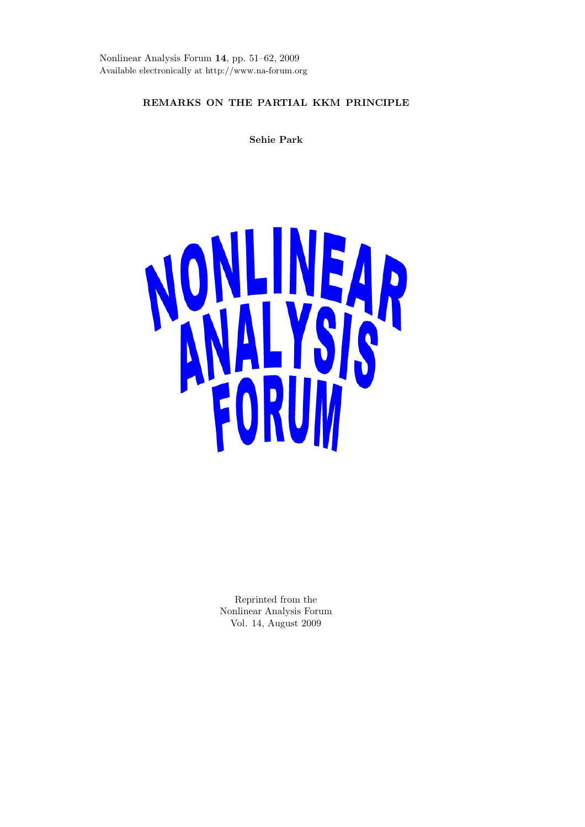Nonlinear Analysis Forum **14**, pp. 51–62, 2009 Available electronically at http://www.na-forum.org

# **REMARKS ON THE PARTIAL KKM PRINCIPLE**

**Sehie Park**



Reprinted from the Nonlinear Analysis Forum Vol. 14, August 2009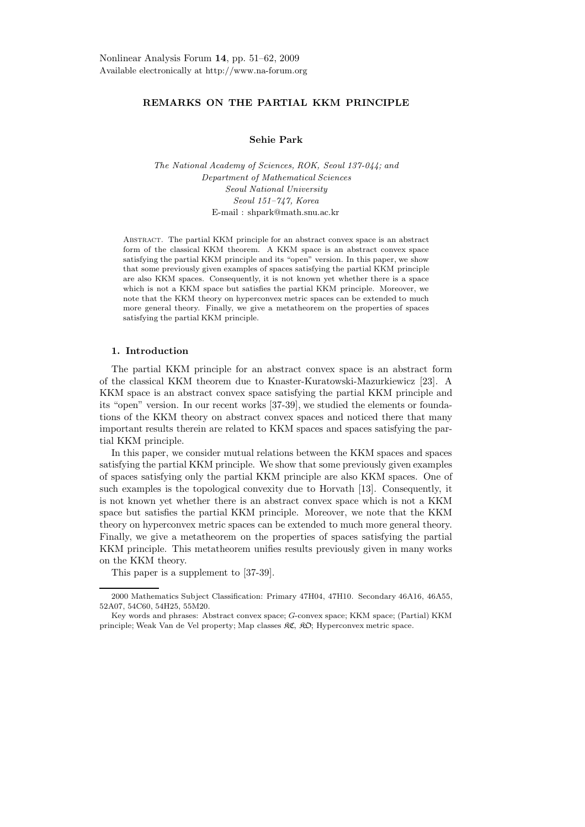# **REMARKS ON THE PARTIAL KKM PRINCIPLE**

# **Sehie Park**

*The National Academy of Sciences, ROK, Seoul 137-044; and Department of Mathematical Sciences Seoul National University Seoul 151–747, Korea* E-mail : shpark@math.snu.ac.kr

Abstract. The partial KKM principle for an abstract convex space is an abstract form of the classical KKM theorem. A KKM space is an abstract convex space satisfying the partial KKM principle and its "open" version. In this paper, we show that some previously given examples of spaces satisfying the partial KKM principle are also KKM spaces. Consequently, it is not known yet whether there is a space which is not a KKM space but satisfies the partial KKM principle. Moreover, we note that the KKM theory on hyperconvex metric spaces can be extended to much more general theory. Finally, we give a metatheorem on the properties of spaces satisfying the partial KKM principle.

# **1. Introduction**

The partial KKM principle for an abstract convex space is an abstract form of the classical KKM theorem due to Knaster-Kuratowski-Mazurkiewicz [23]. A KKM space is an abstract convex space satisfying the partial KKM principle and its "open" version. In our recent works [37-39], we studied the elements or foundations of the KKM theory on abstract convex spaces and noticed there that many important results therein are related to KKM spaces and spaces satisfying the partial KKM principle.

In this paper, we consider mutual relations between the KKM spaces and spaces satisfying the partial KKM principle. We show that some previously given examples of spaces satisfying only the partial KKM principle are also KKM spaces. One of such examples is the topological convexity due to Horvath [13]. Consequently, it is not known yet whether there is an abstract convex space which is not a KKM space but satisfies the partial KKM principle. Moreover, we note that the KKM theory on hyperconvex metric spaces can be extended to much more general theory. Finally, we give a metatheorem on the properties of spaces satisfying the partial KKM principle. This metatheorem unifies results previously given in many works on the KKM theory.

This paper is a supplement to [37-39].

<sup>2000</sup> Mathematics Subject Classification: Primary 47H04, 47H10. Secondary 46A16, 46A55, 52A07, 54C60, 54H25, 55M20.

Key words and phrases: Abstract convex space; G-convex space; KKM space; (Partial) KKM principle; Weak Van de Vel property; Map classes KC, KO; Hyperconvex metric space.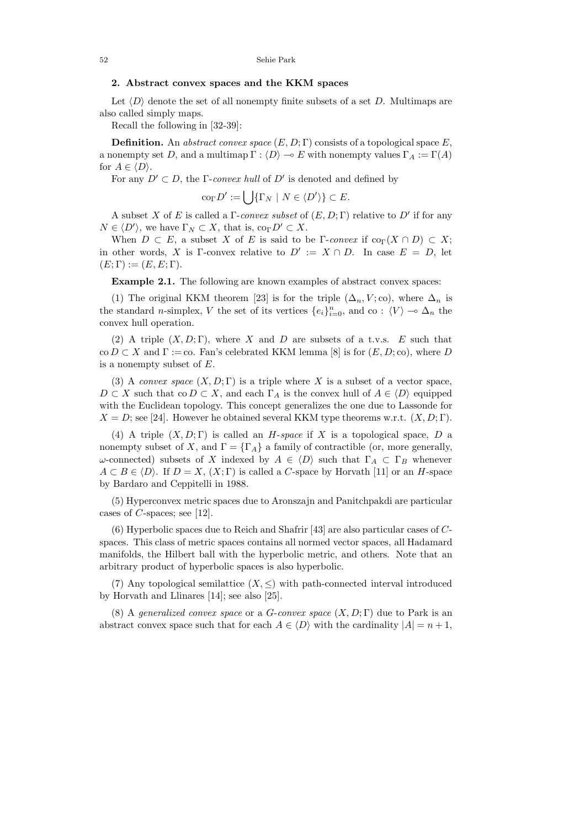## **2. Abstract convex spaces and the KKM spaces**

Let  $\langle D \rangle$  denote the set of all nonempty finite subsets of a set *D*. Multimaps are also called simply maps.

Recall the following in [32-39]:

**Definition.** An abstract convex space  $(E, D; \Gamma)$  consists of a topological space  $E$ , a nonempty set *D*, and a multimap  $\Gamma : \langle D \rangle \to E$  with nonempty values  $\Gamma_A := \Gamma(A)$ for  $A \in \langle D \rangle$ .

For any  $D' \subset D$ , the Γ-convex hull of  $D'$  is denoted and defined by

$$
\operatorname{co}_{\Gamma} D' := \bigcup \{ \Gamma_N \mid N \in \langle D' \rangle \} \subset E.
$$

A subset X of E is called a  $\Gamma$ -convex subset of  $(E, D; \Gamma)$  relative to D' if for any  $N \in \langle D' \rangle$ , we have  $\Gamma_N \subset X$ , that is,  $\text{co}_{\Gamma} D' \subset X$ .

When  $D \subset E$ , a subset *X* of *E* is said to be Γ-convex if  $\text{co}_{\Gamma}(X \cap D) \subset X$ ; in other words, *X* is Γ-convex relative to  $D' := X \cap D$ . In case  $E = D$ , let  $(E; \Gamma) := (E, E; \Gamma).$ 

**Example 2.1.** The following are known examples of abstract convex spaces:

(1) The original KKM theorem [23] is for the triple  $(\Delta_n, V; \text{co})$ , where  $\Delta_n$  is the standard *n*-simplex, *V* the set of its vertices  $\{e_i\}_{i=0}^n$ , and co :  $\langle V \rangle \to \Delta_n$  the convex hull operation.

(2) A triple  $(X, D; \Gamma)$ , where *X* and *D* are subsets of a t.v.s. *E* such that  $co D \subset X$  and  $\Gamma := co$ . Fan's celebrated KKM lemma [8] is for  $(E, D; co)$ , where *D* is a nonempty subset of *E*.

(3) A convex space  $(X, D; \Gamma)$  is a triple where X is a subset of a vector space,  $D \subset X$  such that co  $D \subset X$ , and each  $\Gamma_A$  is the convex hull of  $A \in \langle D \rangle$  equipped with the Euclidean topology. This concept generalizes the one due to Lassonde for  $X = D$ ; see [24]. However he obtained several KKM type theorems w.r.t.  $(X, D; \Gamma)$ .

(4) A triple  $(X, D; \Gamma)$  is called an *H*-space if X is a topological space, D a nonempty subset of *X*, and  $\Gamma = {\Gamma_A}$  a family of contractible (or, more generally, *ω*-connected) subsets of *X* indexed by  $A \in \langle D \rangle$  such that  $\Gamma_A \subset \Gamma_B$  whenever  $A \subset B \in \langle D \rangle$ . If  $D = X$ ,  $(X; \Gamma)$  is called a *C*-space by Horvath [11] or an *H*-space by Bardaro and Ceppitelli in 1988.

(5) Hyperconvex metric spaces due to Aronszajn and Panitchpakdi are particular cases of *C*-spaces; see [12].

(6) Hyperbolic spaces due to Reich and Shafrir [43] are also particular cases of *C*spaces. This class of metric spaces contains all normed vector spaces, all Hadamard manifolds, the Hilbert ball with the hyperbolic metric, and others. Note that an arbitrary product of hyperbolic spaces is also hyperbolic.

(7) Any topological semilattice  $(X, \leq)$  with path-connected interval introduced by Horvath and Llinares [14]; see also [25].

(8) A *generalized convex space* or a *G*-convex space  $(X, D; \Gamma)$  due to Park is an abstract convex space such that for each  $A \in \langle D \rangle$  with the cardinality  $|A| = n + 1$ ,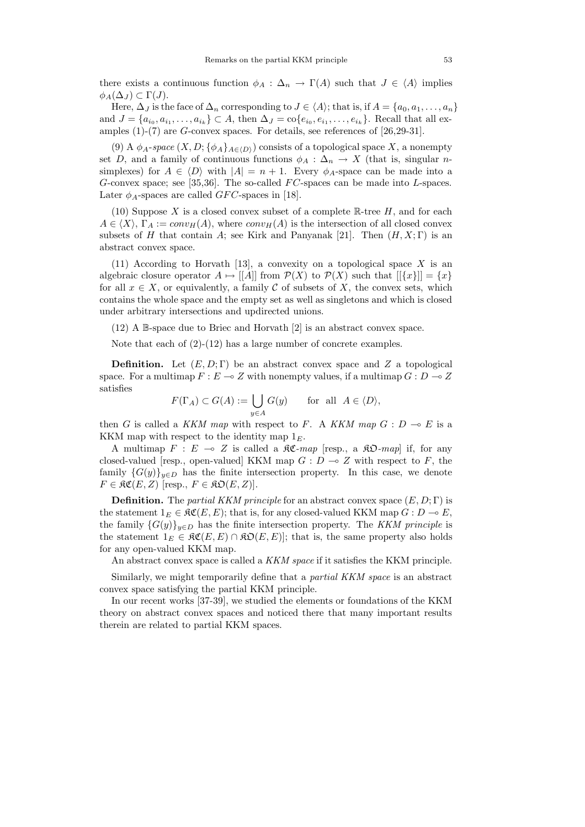there exists a continuous function  $\phi_A : \Delta_n \to \Gamma(A)$  such that  $J \in \langle A \rangle$  implies  $\phi_A(\Delta_J) \subset \Gamma(J)$ .

Here,  $\Delta_J$  is the face of  $\Delta_n$  corresponding to  $J \in \langle A \rangle$ ; that is, if  $A = \{a_0, a_1, \ldots, a_n\}$ and  $J = \{a_{i_0}, a_{i_1}, \ldots, a_{i_k}\} \subset A$ , then  $\Delta_J = \text{co}\{e_{i_0}, e_{i_1}, \ldots, e_{i_k}\}$ . Recall that all examples (1)-(7) are *G*-convex spaces. For details, see references of [26,29-31].

(9) A  $\phi_A$ -space  $(X, D; {\phi_A}_{A \in (D)})$  consists of a topological space X, a nonempty set *D*, and a family of continuous functions  $\phi_A : \Delta_n \to X$  (that is, singular *n*simplexes) for  $A \in \langle D \rangle$  with  $|A| = n + 1$ . Every  $\phi_A$ -space can be made into a *G*-convex space; see [35,36]. The so-called *FC*-spaces can be made into *L*-spaces. Later  $\phi_A$ -spaces are called *GFC*-spaces in [18].

(10) Suppose  $X$  is a closed convex subset of a complete  $\mathbb{R}$ -tree  $H$ , and for each  $A \in \langle X \rangle$ ,  $\Gamma_A := conv_H(A)$ , where  $conv_H(A)$  is the intersection of all closed convex subsets of *H* that contain *A*; see Kirk and Panyanak [21]. Then  $(H, X; \Gamma)$  is an abstract convex space.

(11) According to Horvath [13], a convexity on a topological space *X* is an algebraic closure operator  $A \mapsto |[A]|$  from  $\mathcal{P}(X)$  to  $\mathcal{P}(X)$  such that  $|[\{x\}]| = \{x\}$ for all  $x \in X$ , or equivalently, a family C of subsets of X, the convex sets, which contains the whole space and the empty set as well as singletons and which is closed under arbitrary intersections and updirected unions.

(12) A B-space due to Briec and Horvath [2] is an abstract convex space.

Note that each of  $(2)-(12)$  has a large number of concrete examples.

**Definition.** Let  $(E, D; \Gamma)$  be an abstract convex space and *Z* a topological space. For a multimap  $F: E \to Z$  with nonempty values, if a multimap  $G: D \to Z$ satisfies

$$
F(\Gamma_A) \subset G(A) := \bigcup_{y \in A} G(y) \quad \text{for all } A \in \langle D \rangle,
$$

then *G* is called a KKM map with respect to *F*. A KKM map  $G : D \to E$  is a KKM map with respect to the identity map  $1<sub>E</sub>$ .

A multimap  $F : E \multimap Z$  is called a  $\Re \mathfrak{C}$ -map [resp., a  $\Re \mathfrak{D}$ -map] if, for any closed-valued [resp., open-valued] KKM map  $G: D \to Z$  with respect to  $F$ , the family  ${G(y)}_{y\in D}$  has the finite intersection property. In this case, we denote  $F \in \mathfrak{RC}(E, Z)$  [resp.,  $F \in \mathfrak{RO}(E, Z)$ ].

**Definition.** The *partial KKM principle* for an abstract convex space  $(E, D; \Gamma)$  is the statement  $1_E \in \mathfrak{RC}(E, E)$ ; that is, for any closed-valued KKM map  $G : D \to E$ , the family  ${G(y)}_{y\in D}$  has the finite intersection property. The KKM principle is the statement  $1_E \in \mathfrak{RC}(E, E) \cap \mathfrak{RO}(E, E)$ ; that is, the same property also holds for any open-valued KKM map.

An abstract convex space is called a KKM space if it satisfies the KKM principle.

Similarly, we might temporarily define that a partial KKM space is an abstract convex space satisfying the partial KKM principle.

In our recent works [37-39], we studied the elements or foundations of the KKM theory on abstract convex spaces and noticed there that many important results therein are related to partial KKM spaces.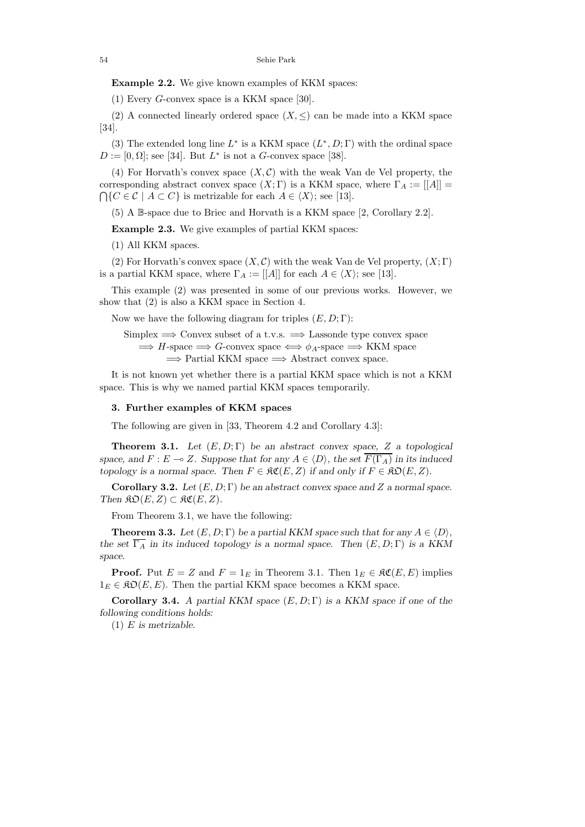**Example 2.2.** We give known examples of KKM spaces:

(1) Every *G*-convex space is a KKM space [30].

(2) A connected linearly ordered space  $(X, \leq)$  can be made into a KKM space [34].

(3) The extended long line  $L^*$  is a KKM space  $(L^*, D; \Gamma)$  with the ordinal space  $D := [0, \Omega]$ ; see [34]. But  $L^*$  is not a *G*-convex space [38].

(4) For Horvath's convex space  $(X, \mathcal{C})$  with the weak Van de Vel property, the corresponding abstract convex space  $(X; \Gamma)$  is a KKM space, where  $\Gamma_A := |[A]| =$  $\bigcap \{C \in \mathcal{C} \mid A \subset C\}$  is metrizable for each  $A \in \langle X \rangle$ ; see [13].

(5) A B-space due to Briec and Horvath is a KKM space [2, Corollary 2.2].

**Example 2.3.** We give examples of partial KKM spaces:

(1) All KKM spaces.

(2) For Horvath's convex space  $(X, \mathcal{C})$  with the weak Van de Vel property,  $(X, \Gamma)$ is a partial KKM space, where  $\Gamma_A := [[A]]$  for each  $A \in \langle X \rangle$ ; see [13].

This example (2) was presented in some of our previous works. However, we show that (2) is also a KKM space in Section 4.

Now we have the following diagram for triples  $(E, D; \Gamma)$ :

Simplex =*⇒* Convex subset of a t.v.s. =*⇒* Lassonde type convex space  $\implies$  *H*-space  $\implies$  *G*-convex space  $\iff$   $\phi_A$ -space  $\implies$  KKM space =*⇒* Partial KKM space =*⇒* Abstract convex space.

It is not known yet whether there is a partial KKM space which is not a KKM space. This is why we named partial KKM spaces temporarily.

### **3. Further examples of KKM spaces**

The following are given in [33, Theorem 4.2 and Corollary 4.3]:

**Theorem 3.1.** *Let* (*E,D*; Γ) *be an abstract convex space, Z a topological space, and*  $F: E \to Z$ *. Suppose that for any*  $A \in \langle D \rangle$ *, the set*  $\overline{F(\Gamma_A)}$  *in its induced topology is a normal space. Then*  $F \in \mathfrak{RC}(E, Z)$  *if and only if*  $F \in \mathfrak{RO}(E, Z)$ *.* 

**Corollary 3.2.** *Let* (*E,D*; Γ) *be an abstract convex space and Z a normal space. Then*  $\Re\mathfrak{O}(E, Z) \subset \Re\mathfrak{C}(E, Z)$ .

From Theorem 3.1, we have the following:

**Theorem 3.3.** Let  $(E, D; \Gamma)$  be a partial KKM space such that for any  $A \in \langle D \rangle$ , *the set*  $\overline{\Gamma_A}$  *in its induced topology is a normal space. Then*  $(E, D; \Gamma)$  *is a KKM space.*

**Proof.** Put  $E = Z$  and  $F = 1_E$  in Theorem 3.1. Then  $1_E \in \mathcal{RC}(E, E)$  implies  $1<sub>E</sub> \in \mathfrak{RO}(E, E)$ . Then the partial KKM space becomes a KKM space.

**Corollary 3.4.** *A partial KKM space* (*E,D*; Γ) *is a KKM space if one of the following conditions holds:*

(1) *E is metrizable.*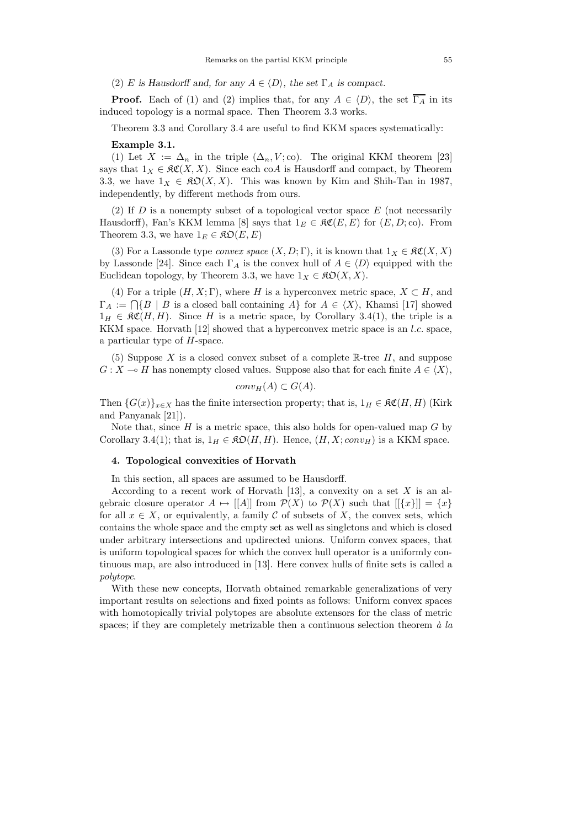(2) *E* is Hausdorff and, for any  $A \in \langle D \rangle$ , the set  $\Gamma_A$  is compact.

**Proof.** Each of (1) and (2) implies that, for any  $A \in \langle D \rangle$ , the set  $\overline{\Gamma_A}$  in its induced topology is a normal space. Then Theorem 3.3 works.

Theorem 3.3 and Corollary 3.4 are useful to find KKM spaces systematically:

#### **Example 3.1.**

(1) Let  $X := \Delta_n$  in the triple  $(\Delta_n, V; \text{co})$ . The original KKM theorem [23] says that  $1_X \in \mathfrak{RC}(X,X)$ . Since each co*A* is Hausdorff and compact, by Theorem 3.3, we have  $1_X \in \mathfrak{K} \mathfrak{O}(X,X)$ . This was known by Kim and Shih-Tan in 1987, independently, by different methods from ours.

(2) If *D* is a nonempty subset of a topological vector space *E* (not necessarily Hausdorff), Fan's KKM lemma [8] says that  $1_E \in \mathcal{RC}(E, E)$  for  $(E, D; \infty)$ . From Theorem 3.3, we have  $1_E \in \mathfrak{RO}(E, E)$ 

(3) For a Lassonde type *convex space*  $(X, D; \Gamma)$ , it is known that  $1_X \in \mathfrak{RC}(X, X)$ by Lassonde [24]. Since each  $\Gamma_A$  is the convex hull of  $A \in \langle D \rangle$  equipped with the Euclidean topology, by Theorem 3.3, we have  $1_X \in \mathfrak{K} \mathfrak{O}(X,X)$ .

(4) For a triple  $(H, X; \Gamma)$ , where *H* is a hyperconvex metric space,  $X \subset H$ , and  $\Gamma_A := \bigcap \{ B \mid B \text{ is a closed ball containing } A \}$  for  $A \in \langle X \rangle$ , Khamsi [17] showed  $1_H \in \mathfrak{RC}(H,H)$ . Since H is a metric space, by Corollary 3.4(1), the triple is a KKM space. Horvath [12] showed that a hyperconvex metric space is an *l.c.* space, a particular type of *H*-space.

(5) Suppose *X* is a closed convex subset of a complete R-tree *H*, and suppose  $G: X \to H$  has nonempty closed values. Suppose also that for each finite  $A \in \langle X \rangle$ ,

$$
conv_H(A) \subset G(A).
$$

Then  ${G(x)}_{x \in X}$  has the finite intersection property; that is,  $1_H \in \mathfrak{RC}(H, H)$  (Kirk and Panyanak [21]).

Note that, since *H* is a metric space, this also holds for open-valued map *G* by Corollary 3.4(1); that is,  $1_H \in \mathfrak{RO}(H, H)$ . Hence,  $(H, X; conv_H)$  is a KKM space.

### **4. Topological convexities of Horvath**

In this section, all spaces are assumed to be Hausdorff.

According to a recent work of Horvath [13], a convexity on a set *X* is an algebraic closure operator  $A \mapsto |[A]|$  from  $\mathcal{P}(X)$  to  $\mathcal{P}(X)$  such that  $|[\{x\}]| = \{x\}$ for all  $x \in X$ , or equivalently, a family  $C$  of subsets of  $X$ , the convex sets, which contains the whole space and the empty set as well as singletons and which is closed under arbitrary intersections and updirected unions. Uniform convex spaces, that is uniform topological spaces for which the convex hull operator is a uniformly continuous map, are also introduced in [13]. Here convex hulls of finite sets is called a polytope.

With these new concepts, Horvath obtained remarkable generalizations of very important results on selections and fixed points as follows: Uniform convex spaces with homotopically trivial polytopes are absolute extensors for the class of metric spaces; if they are completely metrizable then a continuous selection theorem  $\dot{a}$  la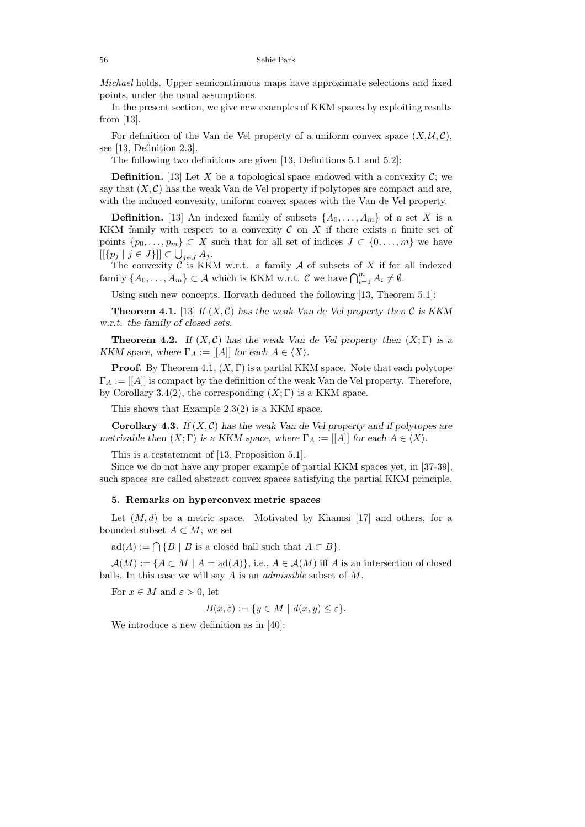Michael holds. Upper semicontinuous maps have approximate selections and fixed points, under the usual assumptions.

In the present section, we give new examples of KKM spaces by exploiting results from [13].

For definition of the Van de Vel property of a uniform convex space  $(X, \mathcal{U}, \mathcal{C})$ , see [13, Definition 2.3].

The following two definitions are given [13, Definitions 5.1 and 5.2]:

**Definition.** [13] Let *X* be a topological space endowed with a convexity  $C$ ; we say that  $(X, \mathcal{C})$  has the weak Van de Vel property if polytopes are compact and are, with the induced convexity, uniform convex spaces with the Van de Vel property.

**Definition.** [13] An indexed family of subsets  $\{A_0, \ldots, A_m\}$  of a set *X* is a KKM family with respect to a convexity  $\mathcal C$  on  $X$  if there exists a finite set of points  $\{p_0, \ldots, p_m\} \subset X$  such that for all set of indices  $J \subset \{0, \ldots, m\}$  we have  $[$ [ $\{p_j \mid j \in J\}]$ ]  $\subset \bigcup_{j \in J} A_j$ .

The convexity  $\mathcal{C}$  is KKM w.r.t. a family  $\mathcal A$  of subsets of  $X$  if for all indexed family  $\{A_0, \ldots, A_m\} \subset \mathcal{A}$  which is KKM w.r.t.  $\mathcal{C}$  we have  $\bigcap_{i=1}^m A_i \neq \emptyset$ .

Using such new concepts, Horvath deduced the following [13, Theorem 5.1]:

**Theorem 4.1.** [13] *If*  $(X, C)$  *has the weak Van de Vel property then*  $C$  *is KKM w.r.t. the family of closed sets.*

**Theorem 4.2.** *If*  $(X, \mathcal{C})$  *has the weak Van de Vel property then*  $(X, \Gamma)$  *is a KKM space, where*  $\Gamma_A := [[A]]$  *for each*  $A \in \langle X \rangle$ *.* 

**Proof.** By Theorem 4.1,  $(X, \Gamma)$  is a partial KKM space. Note that each polytope  $\Gamma_A := [[A]]$  is compact by the definition of the weak Van de Vel property. Therefore, by Corollary 3.4(2), the corresponding  $(X; \Gamma)$  is a KKM space.

This shows that Example 2.3(2) is a KKM space.

**Corollary 4.3.** *If*  $(X, \mathcal{C})$  *has the weak Van de Vel property and if polytopes are metrizable then*  $(X; \Gamma)$  *is a KKM space, where*  $\Gamma_A := |[A]|$  *for each*  $A \in \langle X \rangle$ *.* 

This is a restatement of [13, Proposition 5.1].

Since we do not have any proper example of partial KKM spaces yet, in [37-39], such spaces are called abstract convex spaces satisfying the partial KKM principle.

# **5. Remarks on hyperconvex metric spaces**

Let  $(M, d)$  be a metric space. Motivated by Khamsi [17] and others, for a bounded subset  $A \subset M$ , we set

 $ad(A) := \bigcap \{B \mid B \text{ is a closed ball such that } A \subset B\}.$ 

 $A(M) := \{A \subset M \mid A = \text{ad}(A)\}\$ , i.e.,  $A \in \mathcal{A}(M)$  iff *A* is an intersection of closed balls. In this case we will say *A* is an admissible subset of *M*.

For  $x \in M$  and  $\varepsilon > 0$ , let

$$
B(x,\varepsilon) := \{ y \in M \mid d(x,y) \le \varepsilon \}.
$$

We introduce a new definition as in [40]: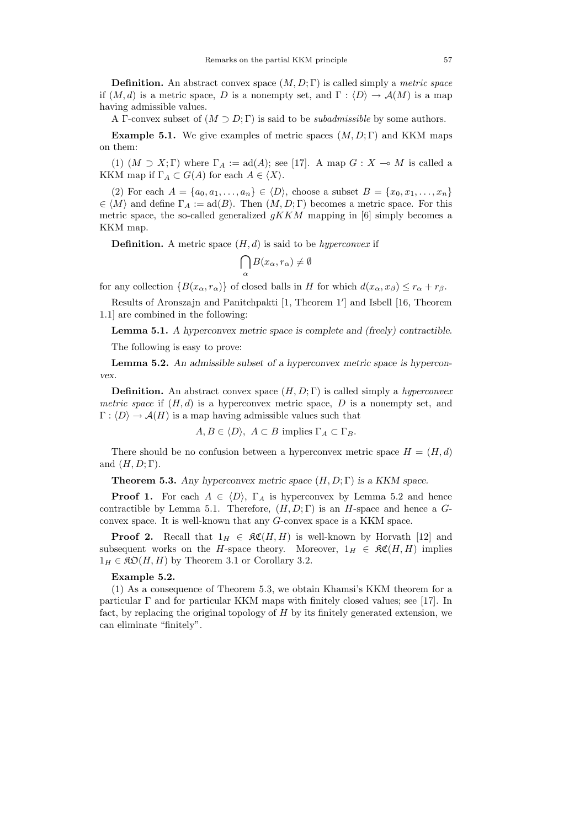**Definition.** An abstract convex space  $(M, D; \Gamma)$  is called simply a *metric space* if  $(M, d)$  is a metric space, *D* is a nonempty set, and  $\Gamma : \langle D \rangle \to \mathcal{A}(M)$  is a map having admissible values.

A Γ-convex subset of  $(M \supset D; \Gamma)$  is said to be *subadmissible* by some authors.

**Example 5.1.** We give examples of metric spaces  $(M, D; \Gamma)$  and KKM maps on them:

(1)  $(M \supset X; \Gamma)$  where  $\Gamma_A := \text{ad}(A);$  see [17]. A map  $G: X \to M$  is called a KKM map if  $\Gamma_A \subset G(A)$  for each  $A \in \langle X \rangle$ .

(2) For each  $A = \{a_0, a_1, \ldots, a_n\} \in \langle D \rangle$ , choose a subset  $B = \{x_0, x_1, \ldots, x_n\}$  $\in \langle M \rangle$  and define  $\Gamma_A := \text{ad}(B)$ . Then  $(M, D; \Gamma)$  becomes a metric space. For this metric space, the so-called generalized  $qKKM$  mapping in [6] simply becomes a KKM map.

**Definition.** A metric space  $(H, d)$  is said to be *hyperconvex* if

$$
\bigcap_\alpha B(x_\alpha,r_\alpha)\neq\emptyset
$$

for any collection  ${B(x_\alpha, r_\alpha)}$  of closed balls in *H* for which  $d(x_\alpha, x_\beta) \leq r_\alpha + r_\beta$ .

Results of Aronszajn and Panitchpakti [1, Theorem 1'] and Isbell [16, Theorem 1.1] are combined in the following:

**Lemma 5.1.** *A hyperconvex metric space is complete and (freely) contractible.*

The following is easy to prove:

**Lemma 5.2.** *An admissible subset of a hyperconvex metric space is hyperconvex.*

**Definition.** An abstract convex space  $(H, D; \Gamma)$  is called simply a *hyperconvex metric space* if  $(H, d)$  is a hyperconvex metric space,  $D$  is a nonempty set, and  $\Gamma : \langle D \rangle \to \mathcal{A}(H)$  is a map having admissible values such that

 $A, B \in \langle D \rangle$ ,  $A \subset B$  implies  $\Gamma_A \subset \Gamma_B$ .

There should be no confusion between a hyperconvex metric space  $H = (H, d)$ and  $(H, D; \Gamma)$ .

**Theorem 5.3.** *Any hyperconvex metric space* (*H, D*; Γ) *is a KKM space.*

**Proof 1.** For each  $A \in \langle D \rangle$ ,  $\Gamma_A$  is hyperconvex by Lemma 5.2 and hence contractible by Lemma 5.1. Therefore, (*H, D*; Γ) is an *H*-space and hence a *G*convex space. It is well-known that any *G*-convex space is a KKM space.

**Proof 2.** Recall that  $1_H \in \mathfrak{RC}(H,H)$  is well-known by Horvath [12] and subsequent works on the *H*-space theory. Moreover,  $1_H \in \mathfrak{RC}(H,H)$  implies  $1_H \in \mathfrak{K} \mathfrak{O}(H, H)$  by Theorem 3.1 or Corollary 3.2.

### **Example 5.2.**

(1) As a consequence of Theorem 5.3, we obtain Khamsi's KKM theorem for a particular  $\Gamma$  and for particular KKM maps with finitely closed values; see [17]. In fact, by replacing the original topology of *H* by its finitely generated extension, we can eliminate "finitely".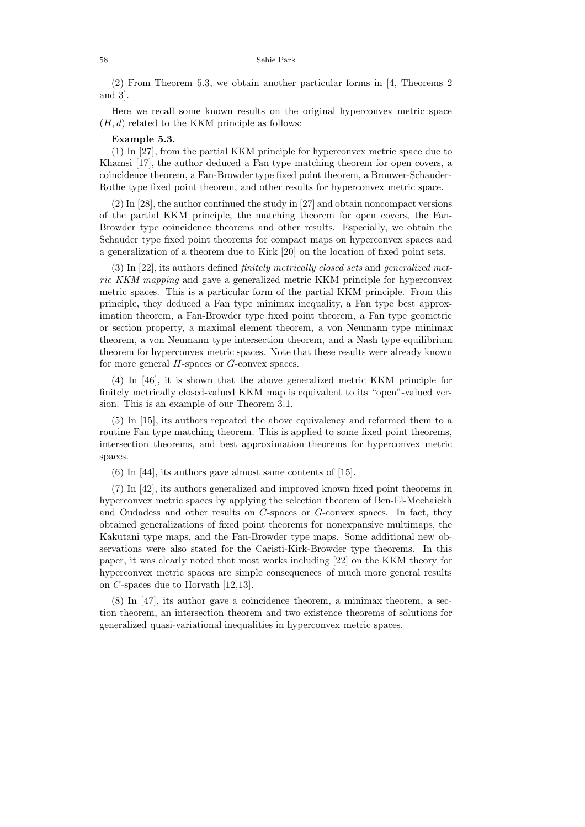#### 58 Sehie Park

(2) From Theorem 5.3, we obtain another particular forms in [4, Theorems 2 and 3].

Here we recall some known results on the original hyperconvex metric space  $(H, d)$  related to the KKM principle as follows:

# **Example 5.3.**

(1) In [27], from the partial KKM principle for hyperconvex metric space due to Khamsi [17], the author deduced a Fan type matching theorem for open covers, a coincidence theorem, a Fan-Browder type fixed point theorem, a Brouwer-Schauder-Rothe type fixed point theorem, and other results for hyperconvex metric space.

(2) In [28], the author continued the study in [27] and obtain noncompact versions of the partial KKM principle, the matching theorem for open covers, the Fan-Browder type coincidence theorems and other results. Especially, we obtain the Schauder type fixed point theorems for compact maps on hyperconvex spaces and a generalization of a theorem due to Kirk [20] on the location of fixed point sets.

(3) In [22], its authors defined finitely metrically closed sets and generalized metric KKM mapping and gave a generalized metric KKM principle for hyperconvex metric spaces. This is a particular form of the partial KKM principle. From this principle, they deduced a Fan type minimax inequality, a Fan type best approximation theorem, a Fan-Browder type fixed point theorem, a Fan type geometric or section property, a maximal element theorem, a von Neumann type minimax theorem, a von Neumann type intersection theorem, and a Nash type equilibrium theorem for hyperconvex metric spaces. Note that these results were already known for more general *H*-spaces or *G*-convex spaces.

(4) In [46], it is shown that the above generalized metric KKM principle for finitely metrically closed-valued KKM map is equivalent to its "open"-valued version. This is an example of our Theorem 3.1.

(5) In [15], its authors repeated the above equivalency and reformed them to a routine Fan type matching theorem. This is applied to some fixed point theorems, intersection theorems, and best approximation theorems for hyperconvex metric spaces.

(6) In [44], its authors gave almost same contents of [15].

(7) In [42], its authors generalized and improved known fixed point theorems in hyperconvex metric spaces by applying the selection theorem of Ben-El-Mechaiekh and Oudadess and other results on *C*-spaces or *G*-convex spaces. In fact, they obtained generalizations of fixed point theorems for nonexpansive multimaps, the Kakutani type maps, and the Fan-Browder type maps. Some additional new observations were also stated for the Caristi-Kirk-Browder type theorems. In this paper, it was clearly noted that most works including [22] on the KKM theory for hyperconvex metric spaces are simple consequences of much more general results on *C*-spaces due to Horvath [12,13].

(8) In [47], its author gave a coincidence theorem, a minimax theorem, a section theorem, an intersection theorem and two existence theorems of solutions for generalized quasi-variational inequalities in hyperconvex metric spaces.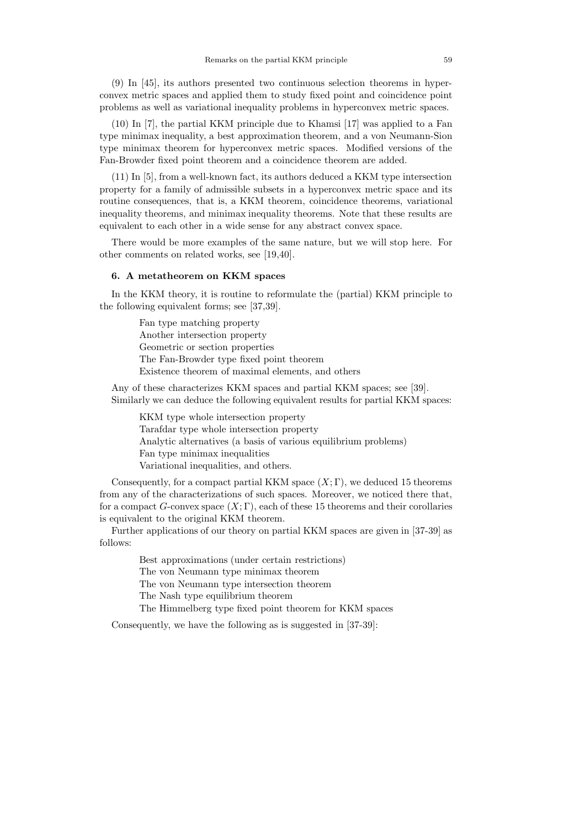(9) In [45], its authors presented two continuous selection theorems in hyperconvex metric spaces and applied them to study fixed point and coincidence point problems as well as variational inequality problems in hyperconvex metric spaces.

(10) In [7], the partial KKM principle due to Khamsi [17] was applied to a Fan type minimax inequality, a best approximation theorem, and a von Neumann-Sion type minimax theorem for hyperconvex metric spaces. Modified versions of the Fan-Browder fixed point theorem and a coincidence theorem are added.

(11) In [5], from a well-known fact, its authors deduced a KKM type intersection property for a family of admissible subsets in a hyperconvex metric space and its routine consequences, that is, a KKM theorem, coincidence theorems, variational inequality theorems, and minimax inequality theorems. Note that these results are equivalent to each other in a wide sense for any abstract convex space.

There would be more examples of the same nature, but we will stop here. For other comments on related works, see [19,40].

## **6. A metatheorem on KKM spaces**

In the KKM theory, it is routine to reformulate the (partial) KKM principle to the following equivalent forms; see [37,39].

> Fan type matching property Another intersection property Geometric or section properties The Fan-Browder type fixed point theorem Existence theorem of maximal elements, and others

Any of these characterizes KKM spaces and partial KKM spaces; see [39]. Similarly we can deduce the following equivalent results for partial KKM spaces:

KKM type whole intersection property Tarafdar type whole intersection property Analytic alternatives (a basis of various equilibrium problems) Fan type minimax inequalities Variational inequalities, and others.

Consequently, for a compact partial KKM space  $(X; \Gamma)$ , we deduced 15 theorems from any of the characterizations of such spaces. Moreover, we noticed there that, for a compact *G*-convex space  $(X; \Gamma)$ , each of these 15 theorems and their corollaries is equivalent to the original KKM theorem.

Further applications of our theory on partial KKM spaces are given in [37-39] as follows:

> Best approximations (under certain restrictions) The von Neumann type minimax theorem The von Neumann type intersection theorem The Nash type equilibrium theorem The Himmelberg type fixed point theorem for KKM spaces

Consequently, we have the following as is suggested in [37-39]: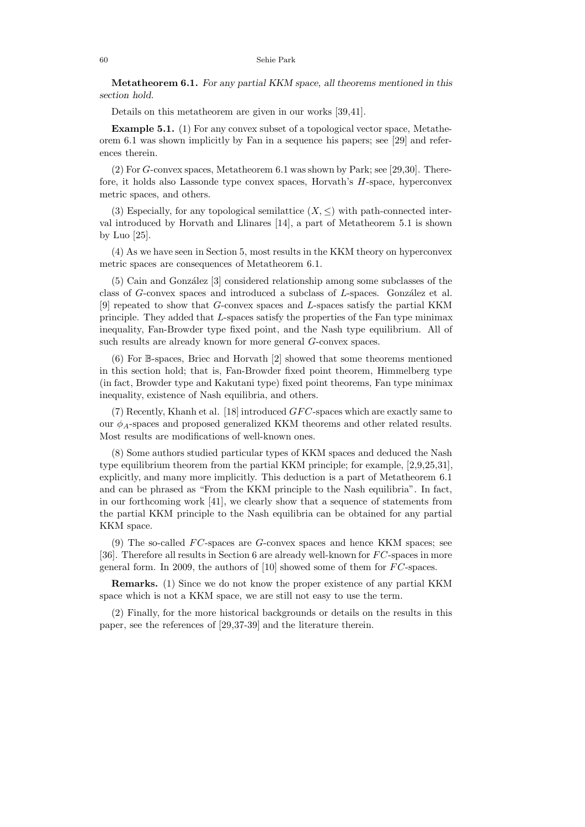**Metatheorem 6.1.** *For any partial KKM space, all theorems mentioned in this section hold.*

Details on this metatheorem are given in our works [39,41].

**Example 5.1.** (1) For any convex subset of a topological vector space, Metatheorem 6.1 was shown implicitly by Fan in a sequence his papers; see [29] and references therein.

(2) For *G*-convex spaces, Metatheorem 6.1 was shown by Park; see [29,30]. Therefore, it holds also Lassonde type convex spaces, Horvath's *H*-space, hyperconvex metric spaces, and others.

(3) Especially, for any topological semilattice  $(X, \leq)$  with path-connected interval introduced by Horvath and Llinares [14], a part of Metatheorem 5.1 is shown by Luo [25].

(4) As we have seen in Section 5, most results in the KKM theory on hyperconvex metric spaces are consequences of Metatheorem 6.1.

(5) Cain and Gonz´alez [3] considered relationship among some subclasses of the class of *G*-convex spaces and introduced a subclass of *L*-spaces. González et al. [9] repeated to show that *G*-convex spaces and *L*-spaces satisfy the partial KKM principle. They added that *L*-spaces satisfy the properties of the Fan type minimax inequality, Fan-Browder type fixed point, and the Nash type equilibrium. All of such results are already known for more general *G*-convex spaces.

(6) For B-spaces, Briec and Horvath [2] showed that some theorems mentioned in this section hold; that is, Fan-Browder fixed point theorem, Himmelberg type (in fact, Browder type and Kakutani type) fixed point theorems, Fan type minimax inequality, existence of Nash equilibria, and others.

(7) Recently, Khanh et al. [18] introduced *GF C*-spaces which are exactly same to our *φA*-spaces and proposed generalized KKM theorems and other related results. Most results are modifications of well-known ones.

(8) Some authors studied particular types of KKM spaces and deduced the Nash type equilibrium theorem from the partial KKM principle; for example, [2,9,25,31], explicitly, and many more implicitly. This deduction is a part of Metatheorem 6.1 and can be phrased as "From the KKM principle to the Nash equilibria". In fact, in our forthcoming work [41], we clearly show that a sequence of statements from the partial KKM principle to the Nash equilibria can be obtained for any partial KKM space.

(9) The so-called *F C*-spaces are *G*-convex spaces and hence KKM spaces; see [36]. Therefore all results in Section 6 are already well-known for *F C*-spaces in more general form. In 2009, the authors of [10] showed some of them for *F C*-spaces.

**Remarks.** (1) Since we do not know the proper existence of any partial KKM space which is not a KKM space, we are still not easy to use the term.

(2) Finally, for the more historical backgrounds or details on the results in this paper, see the references of [29,37-39] and the literature therein.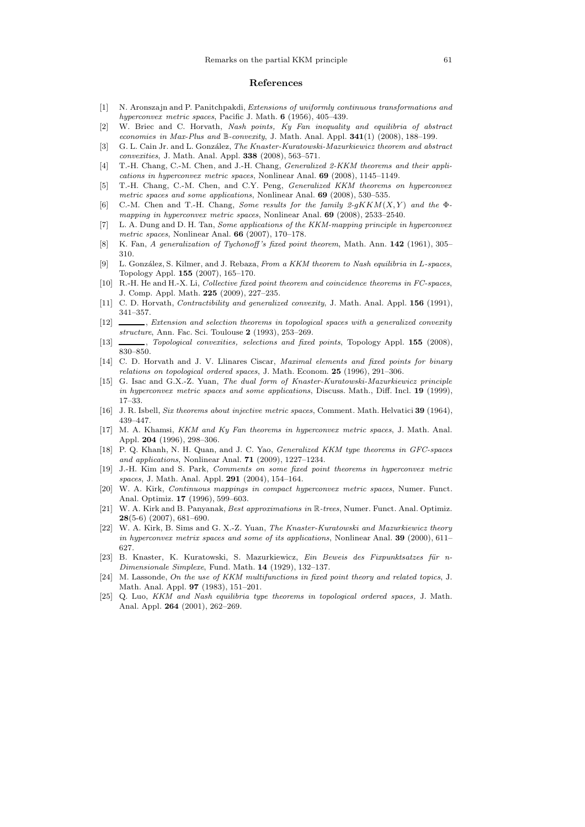#### **References**

- [1] N. Aronszajn and P. Panitchpakdi, *Extensions of uniformly continuous transformations and hyperconvex metric spaces*, Pacific J. Math. **6** (1956), 405–439.
- [2] W. Briec and C. Horvath, *Nash points, Ky Fan inequality and equilibria of abstract economies in Max-Plus and* B*-convexity*, J. Math. Anal. Appl. **341**(1) (2008), 188–199.
- [3] G. L. Cain Jr. and L. Gonz´alez, *The Knaster-Kuratowski-Mazurkiewicz theorem and abstract convexities*, J. Math. Anal. Appl. **338** (2008), 563–571.
- [4] T.-H. Chang, C.-M. Chen, and J.-H. Chang, *Generalized 2-KKM theorems and their applications in hyperconvex metric spaces*, Nonlinear Anal. **69** (2008), 1145–1149.
- [5] T.-H. Chang, C.-M. Chen, and C.Y. Peng, *Generalized KKM theorems on hyperconvex metric spaces and some applications*, Nonlinear Anal. **69** (2008), 530–535.
- [6] C.-M. Chen and T.-H. Chang, *Some results for the family*  $2-qKKM(X, Y)$  *and the*  $\Phi$ *mapping in hyperconvex metric spaces*, Nonlinear Anal. **69** (2008), 2533–2540.
- [7] L. A. Dung and D. H. Tan, *Some applications of the KKM-mapping principle in hyperconvex metric spaces*, Nonlinear Anal. **66** (2007), 170–178.
- [8] K. Fan, *A generalization of Tychonoff 's fixed point theorem*, Math. Ann. **142** (1961), 305– 310.
- [9] L. Gonz´alez, S. Kilmer, and J. Rebaza, *From a KKM theorem to Nash equilibria in* L*-spaces*, Topology Appl. **155** (2007), 165–170.
- [10] R.-H. He and H.-X. Li, *Collective fixed point theorem and coincidence theorems in FC-spaces*, J. Comp. Appl. Math. **225** (2009), 227–235.
- [11] C. D. Horvath, *Contractibility and generalized convexity*, J. Math. Anal. Appl. **156** (1991), 341–357.
- [12] , *Extension and selection theorems in topological spaces with a generalized convexity structure*, Ann. Fac. Sci. Toulouse **2** (1993), 253–269.
- [13] , *Topological convexities, selections and fixed points*, Topology Appl. **155** (2008), 830–850.
- [14] C. D. Horvath and J. V. Llinares Ciscar, *Maximal elements and fixed points for binary relations on topological ordered spaces*, J. Math. Econom. **25** (1996), 291–306.
- [15] G. Isac and G.X.-Z. Yuan, *The dual form of Knaster-Kuratowski-Mazurkiewicz principle in hyperconvex metric spaces and some applications*, Discuss. Math., Diff. Incl. **19** (1999), 17–33.
- [16] J. R. Isbell, *Six theorems about injective metric spaces*, Comment. Math. Helvatici **39** (1964), 439–447.
- [17] M. A. Khamsi, *KKM and Ky Fan theorems in hyperconvex metric spaces*, J. Math. Anal. Appl. **204** (1996), 298–306.
- [18] P. Q. Khanh, N. H. Quan, and J. C. Yao, *Generalized KKM type theorems in GFC-spaces and applications*, Nonlinear Anal. **71** (2009), 1227–1234.
- [19] J.-H. Kim and S. Park, *Comments on some fixed point theorems in hyperconvex metric spaces*, J. Math. Anal. Appl. **291** (2004), 154–164.
- [20] W. A. Kirk, *Continuous mappings in compact hyperconvex metric spaces*, Numer. Funct. Anal. Optimiz. **17** (1996), 599–603.
- [21] W. A. Kirk and B. Panyanak, *Best approximations in* R*-trees*, Numer. Funct. Anal. Optimiz. **28**(5-6) (2007), 681–690.
- [22] W. A. Kirk, B. Sims and G. X.-Z. Yuan, *The Knaster-Kuratowski and Mazurkiewicz theory in hyperconvex metrix spaces and some of its applications*, Nonlinear Anal. **39** (2000), 611– 627.
- [23] B. Knaster, K. Kuratowski, S. Mazurkiewicz, *Ein Beweis des Fixpunktsatzes für n-Dimensionale Simplexe*, Fund. Math. **14** (1929), 132–137.
- [24] M. Lassonde, *On the use of KKM multifunctions in fixed point theory and related topics*, J. Math. Anal. Appl. **97** (1983), 151–201.
- [25] Q. Luo, *KKM and Nash equilibria type theorems in topological ordered spaces,* J. Math. Anal. Appl. **264** (2001), 262–269.